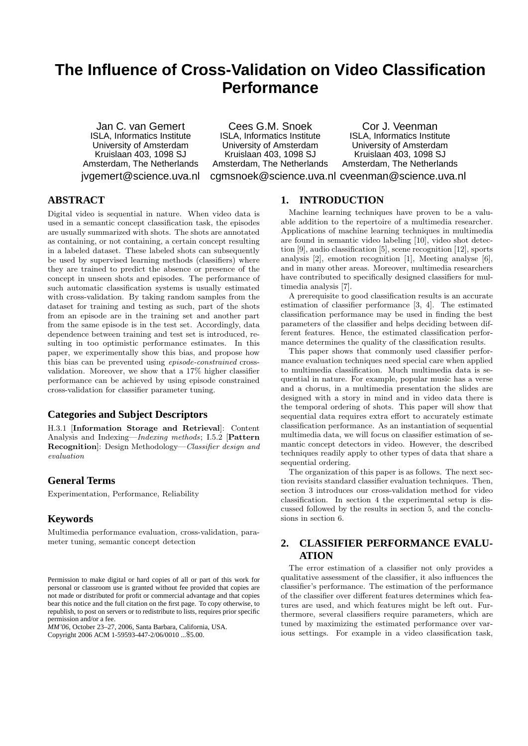# **The Influence of Cross-Validation on Video Classification Performance**

Jan C. van Gemert ISLA, Informatics Institute University of Amsterdam Kruislaan 403, 1098 SJ Amsterdam, The Netherlands jvgemert@science.uva.nl

Cees G.M. Snoek ISLA, Informatics Institute University of Amsterdam Kruislaan 403, 1098 SJ Amsterdam, The Netherlands cgmsnoek@science.uva.nl cveenman@science.uva.nl

Cor J. Veenman ISLA, Informatics Institute University of Amsterdam Kruislaan 403, 1098 SJ Amsterdam, The Netherlands

# **ABSTRACT**

Digital video is sequential in nature. When video data is used in a semantic concept classification task, the episodes are usually summarized with shots. The shots are annotated as containing, or not containing, a certain concept resulting in a labeled dataset. These labeled shots can subsequently be used by supervised learning methods (classifiers) where they are trained to predict the absence or presence of the concept in unseen shots and episodes. The performance of such automatic classification systems is usually estimated with cross-validation. By taking random samples from the dataset for training and testing as such, part of the shots from an episode are in the training set and another part from the same episode is in the test set. Accordingly, data dependence between training and test set is introduced, resulting in too optimistic performance estimates. In this paper, we experimentally show this bias, and propose how this bias can be prevented using episode-constrained crossvalidation. Moreover, we show that a 17% higher classifier performance can be achieved by using episode constrained cross-validation for classifier parameter tuning.

## **Categories and Subject Descriptors**

H.3.1 [Information Storage and Retrieval]: Content Analysis and Indexing—Indexing methods; I.5.2 [Pattern Recognition]: Design Methodology—Classifier design and evaluation

## **General Terms**

Experimentation, Performance, Reliability

## **Keywords**

Multimedia performance evaluation, cross-validation, parameter tuning, semantic concept detection

*MM'06,* October 23–27, 2006, Santa Barbara, California, USA. Copyright 2006 ACM 1-59593-447-2/06/0010 ...\$5.00.

## **1. INTRODUCTION**

Machine learning techniques have proven to be a valuable addition to the repertoire of a multimedia researcher. Applications of machine learning techniques in multimedia are found in semantic video labeling [10], video shot detection [9], audio classification [5], scene recognition [12], sports analysis [2], emotion recognition [1], Meeting analyse [6], and in many other areas. Moreover, multimedia researchers have contributed to specifically designed classifiers for multimedia analysis [7].

A prerequisite to good classification results is an accurate estimation of classifier performance [3, 4]. The estimated classification performance may be used in finding the best parameters of the classifier and helps deciding between different features. Hence, the estimated classification performance determines the quality of the classification results.

This paper shows that commonly used classifier performance evaluation techniques need special care when applied to multimedia classification. Much multimedia data is sequential in nature. For example, popular music has a verse and a chorus, in a multimedia presentation the slides are designed with a story in mind and in video data there is the temporal ordering of shots. This paper will show that sequential data requires extra effort to accurately estimate classification performance. As an instantiation of sequential multimedia data, we will focus on classifier estimation of semantic concept detectors in video. However, the described techniques readily apply to other types of data that share a sequential ordering.

The organization of this paper is as follows. The next section revisits standard classifier evaluation techniques. Then, section 3 introduces our cross-validation method for video classification. In section 4 the experimental setup is discussed followed by the results in section 5, and the conclusions in section 6.

# **2. CLASSIFIER PERFORMANCE EVALU-ATION**

The error estimation of a classifier not only provides a qualitative assessment of the classifier, it also influences the classifier's performance. The estimation of the performance of the classifier over different features determines which features are used, and which features might be left out. Furthermore, several classifiers require parameters, which are tuned by maximizing the estimated performance over various settings. For example in a video classification task,

Permission to make digital or hard copies of all or part of this work for personal or classroom use is granted without fee provided that copies are not made or distributed for profit or commercial advantage and that copies bear this notice and the full citation on the first page. To copy otherwise, to republish, to post on servers or to redistribute to lists, requires prior specific permission and/or a fee.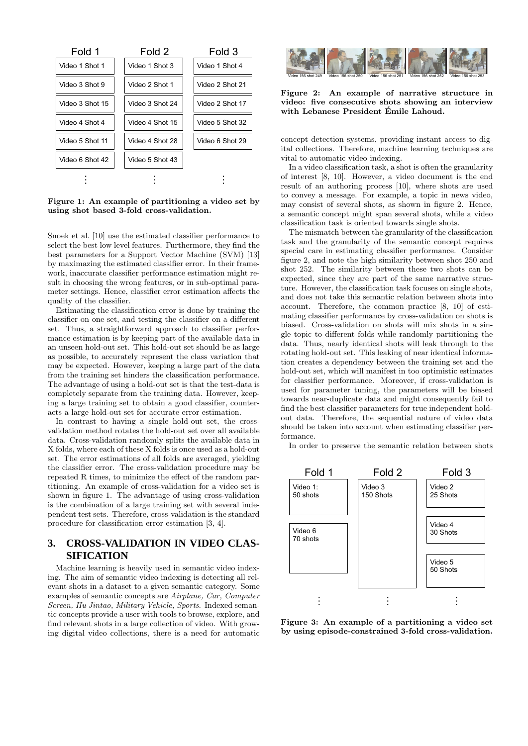

Figure 1: An example of partitioning a video set by using shot based 3-fold cross-validation.

Snoek et al. [10] use the estimated classifier performance to select the best low level features. Furthermore, they find the best parameters for a Support Vector Machine (SVM) [13] by maximazing the estimated classifier error. In their framework, inaccurate classifier performance estimation might result in choosing the wrong features, or in sub-optimal parameter settings. Hence, classifier error estimation affects the quality of the classifier.

Estimating the classification error is done by training the classifier on one set, and testing the classifier on a different set. Thus, a straightforward approach to classifier performance estimation is by keeping part of the available data in an unseen hold-out set. This hold-out set should be as large as possible, to accurately represent the class variation that may be expected. However, keeping a large part of the data from the training set hinders the classification performance. The advantage of using a hold-out set is that the test-data is completely separate from the training data. However, keeping a large training set to obtain a good classifier, counteracts a large hold-out set for accurate error estimation.

In contrast to having a single hold-out set, the crossvalidation method rotates the hold-out set over all available data. Cross-validation randomly splits the available data in X folds, where each of these X folds is once used as a hold-out set. The error estimations of all folds are averaged, yielding the classifier error. The cross-validation procedure may be repeated R times, to minimize the effect of the random partitioning. An example of cross-validation for a video set is shown in figure 1. The advantage of using cross-validation is the combination of a large training set with several independent test sets. Therefore, cross-validation is the standard procedure for classification error estimation [3, 4].

# **3. CROSS-VALIDATION IN VIDEO CLAS-SIFICATION**

Machine learning is heavily used in semantic video indexing. The aim of semantic video indexing is detecting all relevant shots in a dataset to a given semantic category. Some examples of semantic concepts are Airplane, Car, Computer Screen, Hu Jintao, Military Vehicle, Sports. Indexed semantic concepts provide a user with tools to browse, explore, and find relevant shots in a large collection of video. With growing digital video collections, there is a need for automatic



#### Figure 2: An example of narrative structure in video: five consecutive shots showing an interview with Lebanese President Émile Lahoud.

concept detection systems, providing instant access to digital collections. Therefore, machine learning techniques are vital to automatic video indexing.

In a video classification task, a shot is often the granularity of interest [8, 10]. However, a video document is the end result of an authoring process [10], where shots are used to convey a message. For example, a topic in news video, may consist of several shots, as shown in figure 2. Hence, a semantic concept might span several shots, while a video classification task is oriented towards single shots.

The mismatch between the granularity of the classification task and the granularity of the semantic concept requires special care in estimating classifier performance. Consider figure 2, and note the high similarity between shot 250 and shot 252. The similarity between these two shots can be expected, since they are part of the same narrative structure. However, the classification task focuses on single shots, and does not take this semantic relation between shots into account. Therefore, the common practice [8, 10] of estimating classifier performance by cross-validation on shots is biased. Cross-validation on shots will mix shots in a single topic to different folds while randomly partitioning the data. Thus, nearly identical shots will leak through to the rotating hold-out set. This leaking of near identical information creates a dependency between the training set and the hold-out set, which will manifest in too optimistic estimates for classifier performance. Moreover, if cross-validation is used for parameter tuning, the parameters will be biased towards near-duplicate data and might consequently fail to find the best classifier parameters for true independent holdout data. Therefore, the sequential nature of video data should be taken into account when estimating classifier performance.

In order to preserve the semantic relation between shots



Figure 3: An example of a partitioning a video set by using episode-constrained 3-fold cross-validation.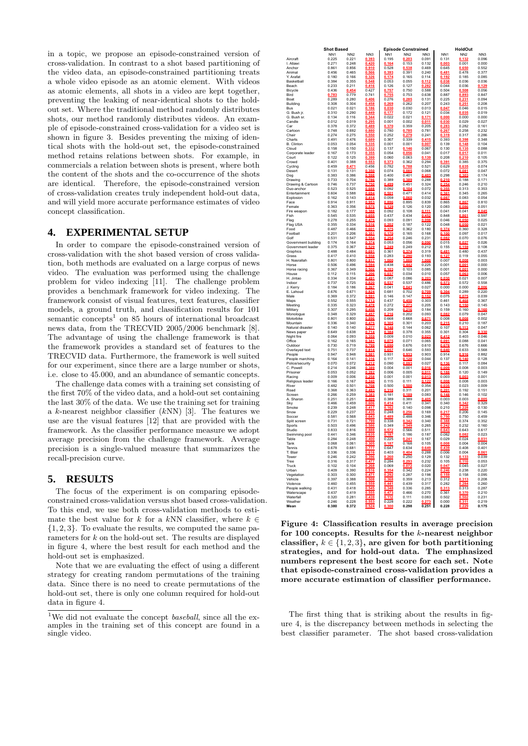in a topic, we propose an episode-constrained version of cross-validation. In contrast to a shot based partitioning of the video data, an episode-constrained partitioning treats a whole video episode as an atomic element. With videos as atomic elements, all shots in a video are kept together, preventing the leaking of near-identical shots to the holdout set. Where the traditional method randomly distributes shots, our method randomly distributes videos. An example of episode-constrained cross-validation for a video set is shown in figure 3. Besides preventing the mixing of identical shots with the hold-out set, the episode-constrained method retains relations between shots. For example, in commercials a relation between shots is present, where both the content of the shots and the co-occurrence of the shots are identical. Therefore, the episode-constrained version of cross-validation creates truly independent hold-out data, and will yield more accurate performance estimates of video concept classification.

## **4. EXPERIMENTAL SETUP**

In order to compare the episode-constrained version of cross-validation with the shot based version of cross validation, both methods are evaluated on a large corpus of news video. The evaluation was performed using the challenge problem for video indexing [11]. The challenge problem provides a benchmark framework for video indexing. The framework consist of visual features, text features, classifier models, a ground truth, and classification results for 101 semantic concepts<sup>1</sup> on 85 hours of international broadcast news data, from the TRECVID 2005/2006 benchmark [8]. The advantage of using the challenge framework is that the framework provides a standard set of features to the TRECVID data. Furthermore, the framework is well suited for our experiment, since there are a large number or shots, i.e. close to 45.000, and an abundance of semantic concepts.

The challenge data comes with a training set consisting of the first 70% of the video data, and a hold-out set containing the last 30% of the data. We use the training set for training a  $k$ -nearest neighbor classifier  $(kNN)$  [3]. The features we use are the visual features [12] that are provided with the framework. As the classifier performance measure we adopt average precision from the challenge framework. Average precision is a single-valued measure that summarizes the recall-precision curve.

## **5. RESULTS**

The focus of the experiment is on comparing episodeconstrained cross-validation versus shot based cross-validation. To this end, we use both cross-validation methods to estimate the best value for k for a kNN classifier, where  $k \in$  ${1, 2, 3}$ . To evaluate the results, we computed the same parameters for k on the hold-out set. The results are displayed in figure 4, where the best result for each method and the hold-out set is emphasized.

Note that we are evaluating the effect of using a different strategy for creating random permutations of the training data. Since there is no need to create permutations of the hold-out set, there is only one column required for hold-out data in figure 4.

|                       | <b>Shot Based</b>        |                          |                       |                          | <b>Episode Constrained</b> |                |                          | <b>HoldOut</b>  |                    |
|-----------------------|--------------------------|--------------------------|-----------------------|--------------------------|----------------------------|----------------|--------------------------|-----------------|--------------------|
| Aircraft              | NN <sub>1</sub><br>0.225 | NN <sub>2</sub><br>0.221 | NN3                   | NN <sub>1</sub><br>0.195 | NN <sub>2</sub>            | NN3<br>0.091   | NN <sub>1</sub><br>0.131 | NN <sub>2</sub> | NN3<br>0.096       |
| I. Allawi             | 0.271                    | 0.248                    | 0.393<br>0.420        | 164                      | 0.153                      | 0.132          | 0.003                    | 0.001           | 0.000              |
| Anchor                | 0.861                    | 0.856                    | 0.910                 | 0.528                    | 0.538                      | 0.469          | 0.645                    | 0.650           | 0.552              |
| Animal                | 0.456                    | 0.465                    | 0.566                 | 0.393                    | 0.391                      | 0.240          | 0.481                    | 0.478           | 0.377              |
| Y. Arafat             | 0.180                    | 0.166                    | 0.326                 | 0.174                    | 0.165                      | 0.114          | 0.192                    | 0.185           | 0.085              |
| Basketball<br>Beach   | 0.384<br>0.233           | 0.355<br>0.211           | 0.548<br>0.416        | 0.053<br>0.126           | 0.055<br>0.127             | 0.112<br>0.282 | 0.038<br>0.044           | 0.036<br>0.036  | 0.036<br>0.129     |
| Bicycle               | 0.436                    | 454                      | 0.427                 |                          | 0.750                      | 0.588          | 0.504                    | 0.508           | 0.056              |
| Bird                  |                          | 0.779                    | 0.741                 | $0.757$<br>$0.755$       | 0.753                      | 0.638          | 0.887                    | 0.893           | 0.847              |
| Boat                  | 0.289                    | 0.280                    | 0.406<br>0.458        | 0.276                    | 0.285                      | 0.131          | 0.225                    | 0.231           | 0.094              |
| Building              | 0.308                    | 0.304                    |                       | 0.269                    | 0.262                      | 0.207          | 0.243                    | 0.251           | 0.208              |
| Bus<br>G. Bush ir.    | 0.021<br>0.310           | 0.021<br>0.290           | 0.186<br>0.449        | 0.030<br>0.177           | 0.030<br>0.172             | 0.013<br>0.121 | 0.047<br>0.034           | 0.046<br>0.035  | 0.015<br>0.019     |
| G. Bush sr.           | 0.134                    | 0.116                    | 0.344                 | 0.022                    | 0.021                      | 0.171          | 0.000                    | 0.000           | 0.000              |
| Candle                | 0.012                    | 0.019                    | 0.295                 | 0.001                    | 0.002                      | 0.011          | 0.030                    | 0.029           | 0.027              |
| Car                   | 0.378                    | 0.372                    | 0.489                 | 0.370                    | 0.359                      | 0.205          | 0.283                    | 0.282           | 0.161              |
| Cartoon               | 0.748                    | 0.692                    | 0.880                 | 0.780                    | 0.785                      | 0.781          | 0.267                    | 0.258           | 0.232              |
| Chair<br>Charts       | 0.274<br>0.491           | 0.275<br>0.476           | 0.550                 | 0.252<br>0.367           | 0.279<br>0.339             | 0.241          | 0.319<br>0.393           | 0.317           | 0.286<br>0.348     |
| <b>B.</b> Clinton     | 0.053                    | 0.054                    | 0.689<br>0.335        | 0.001                    | 0.001                      | 0.415<br>0.007 | 0.139                    | 0.398<br>0.148  | 0.104              |
| Cloud                 | 0.158                    | 0.150                    | 0.332                 | 0.137                    | 0.146                      | 0.067          | 0.130                    | 0.135           | 0.088              |
| Corporate leader      | 0.167                    | 0.173                    | 0.355                 | 0.054                    | 0.056                      | 0.041          | 0.017                    | 0.017           | 0.011              |
| Court                 | 0.122                    | 0.125                    | 0.399                 | 0.060                    | 0.063                      | 0.139          | 0.208                    | 0.210           | 0.105              |
| Crowd                 | 0.401                    | 0.388                    | 0.553                 |                          | 0.362                      | 0.294          |                          | 0.385           | 0.375              |
| Cycling<br>Desert     | 0.459<br>0.131           | 0.471<br>0.131           | 0.456<br>0.350        | 0.782<br>0.074           | 0.788<br>0.085             | 0.521<br>0.068 | 0.629<br>0.072           | 0.635<br>0.081  | 0.074<br>0.047     |
| Dog                   | 0.383                    | 0.386                    | 0.598                 | 0.400                    | 0.401                      | 0.403          | 0.298                    | 0.303           | 0.174              |
| Drawing               | 0.733                    | 0.704                    | 0.786                 | 0.389                    | 0.389                      | 0.288          | 0.210                    | 0.188           | 0.171              |
| Drawing & Cartoon     | 0.746                    | 0.737                    | 0.750                 | 0.499                    | 0.451                      | 0.324          | 0.254                    | 0.246           | 0.210              |
| Duo-anchor            | 0.523                    | 0.525                    | 0.688                 | 0.092                    | 0.104                      | 0.072          | 0.355                    | 0.313           | 0.353              |
| Entertainment         | 0.604<br>0.162           | 0.588<br>0.143           | 0.694<br>0.414        | 0.059                    | 0.471<br>0.060             | 0.414<br>0.032 | 0.361<br>0.087           | 0.345<br>0.083  | 0.265<br>0.054     |
| Explosion<br>Face     | 0.914                    | 0.911                    | 0.953                 | 0.896                    | 0.895                      | 0.839          | 0.865                    | 0.867           | 0.810              |
| Female                | 0.363                    | 0.356                    | 0.575                 | 0.129                    | 0.126                      | 0.120          | 0.083                    | 0.086           | 0.051              |
| Fire weapon           | 0.182                    | 0.177                    | 0.388                 | 0.092                    | 0.108                      | 0.111          | 0.041                    | 0.041           | $0.045$<br>$0.597$ |
| Fish                  | 0.545                    | 0.535                    | 0.655                 | 0.437                    | 0.434                      | 0.452          | 0.848                    | 0.861           |                    |
| Flag                  | 0.278                    | 0.255                    | 0.475                 | 0.093                    | 0.091                      | 0.098          | 0.046                    | 0.050           | 0.025              |
| Flag USA<br>Food      | 0.355<br>0.487           | 0.334<br>0.466           | 0.516<br>0.601        | 0.202<br>0.375           | 0.187<br>0.362             | 0.122<br>0.180 | 0.048<br>0.374           | 0.050<br>0.360  | 0.021<br>0.328     |
| Football              | 0.201                    | 0.206                    | 0.351                 | 0.170                    | 0.165                      | 0.168          | 0.100                    | 0.097           | 0.017              |
| Golf                  | 0.531                    | 0.547                    | 0.554                 |                          | 0.246                      | 0.231          |                          | 0.070           | 0.076              |
| Government building   | 0.174                    | 0.164                    | 0.374                 | 0.053                    | 0.056                      | 0.090          | 0.015                    | 0.027           | 0.026              |
| Government leader     | 0.375                    | 0.367                    | <u>0.529</u>          | 249                      | 0.249                      | 0.212          | 0.155                    | 0.159           | 0.108              |
| Graphics<br>Grass     | 0.488<br>0.417           | 0.484<br>0.410           | 0.691<br>0.558        | 0.361                    | 0.374<br>0.290             | 0.319          | 0.481<br>0.127           | 0.480           | 0.437              |
| H. Nasrallah          | 0.801                    | 0.800                    |                       | 0.283<br>1.000           | 1.000                      | 0.193<br>1.000 | 0.007                    | 0.119<br>0.008  | 0.055<br>0.003     |
| Horse                 | 0.506                    | 0.496                    | $0.817$<br>$0.594$    | 0.438                    | 0.442                      | 0.225          | 0.001                    | 0.001           | 0.000              |
| Horse racing          | 0.367                    | 0.349                    | 0.566                 | 0.103                    | 0.103                      | 0.085          | 0.001                    | 0.001           | 0.000              |
| House                 | 0.112                    | 0.115                    | 0.206                 | 0.037                    | 0.034                      | 0.010          | 0.057                    | 0.063           | 0.006              |
| H. Jintao             | 0.334                    | 0.334                    | 0.491                 | 0.087                    | 0.086                      | 0.203          | 0.030                    | 0.021           | 0.007              |
| Indoor<br>J. Kerry    | 0.737<br>0.184           | 0.725<br>0.186           | 0.820                 | 0.537<br>0.041           | 0.537<br>0.041             | 0.486<br>0.027 | 0.573<br>0.000           | 0.572<br>0.000  | 0.558<br>0.006     |
| E. Lahoud             | 0.676                    | 0.671                    | $0.267$<br>$0.824$    | 0.681                    | 0.702                      | 0.709          |                          | 0.289           | 0.220              |
| Male                  | 0.369                    | 0.372                    | $\frac{0.591}{0.713}$ | 0.146                    | 0.147                      | 0.152          | 0.075                    | 0.075           | 0.039              |
| Maps                  | 0.552                    | 0.555                    |                       | 0.437                    | 0.450                      | 0.303          | 0.461                    | 0.468           | 0.367              |
| Meeting               | 0.335                    | 0.323                    | 0.478                 | 0.272                    | 0.273                      | 0.205          | 0.143                    | 0.150           | 0.145              |
| Military<br>Monologue | 0.307<br>0.348           | 0.295<br>0.329           | 0.458<br>0.457        | 0.209                    | 0.216<br>0.202             | 0.184<br>0.093 | 0.159<br>0.082           | 0.160<br>0.079  | 0.160<br>0.047     |
| Motorbike             | 0.801                    | 0.800                    | 0.896                 | 0.216<br>0.668           | 0.668                      | 0.671          | 0.008                    | 0.008           | 0.002              |
| Mountain              | 0.336                    | 0.340                    | 0.475                 | 0.305                    | 0.301                      | 0.203          | 0.215                    | 0.210           | 0.187              |
| Natural disaster      | 0.140                    | 0.140                    | 0.277                 | 0.148                    | 0.144                      | 0.062          | 0.107                    | 0.113           | 0.047              |
| News paper            | 0.649                    | 0.638                    | 0.714                 | 0.384                    | 0.378                      | 0.355          | 0.301                    | 0.304           | 0.330              |
| Night fire            | 0.064                    | 0.093                    | 0.359                 | 0.009                    | 0.010                      | 0.023          | 0.412                    | 0.403           | 0.046              |
| Office<br>Outdoor     | 0.162<br>0.730           | 0.165<br>0.719           | 0.341<br>0.799        | 0.075<br>0.690           | 0.071<br>0.676             | 0.065<br>0.610 | 0.091<br>0.678           | 0.088<br>0.676  | 0.041<br>0.666     |
| Overlayed text        | 0.751                    | 0.737                    | 0.814                 | 0.657                    | 0.646                      | 0.593          | 0.640                    | 0.633           | 0.568              |
| People                | 0.947                    | 0.948                    | 0.981                 | 0.931                    | 0.933                      | 0.903          | 0.914                    | 0.916           | 0.882              |
| People marching       | 0.164                    | 0.141                    | 0.316                 | 0.117                    | 0.120                      | 0.044          | 0.137                    | 0.140           | 0.128              |
| Police/security       | 0.070                    | 0.072                    | $\frac{0.212}{0.389}$ | 0.090                    | 0.093                      | 0.027          | 0.136<br>0.009           | 0.117           | 0.084              |
| C. Powell<br>Prisoner | 0.214<br>0.053           | 0.246<br>0.052           | 0.282                 | 0.004<br>0.006           | 0.001<br>0.005             | 0.016<br>0.011 | 0.188                    | 0.008<br>0.120  | 0.003<br>0.149     |
| Racing                | 0.009                    | 0.006                    | 0.258                 | 0.001                    | 0.001                      | 0.013          | 0.003                    | 0.003           | 0.001              |
| Religious leader      | 0.166                    | 0.167                    | 0.240                 | 0.115                    | 0.111                      | 0.122          | 0.008                    | 0.008           | 0.003              |
| River                 | 0.482                    | 0.501                    | 0.708                 | 0.500                    |                            | 0.354          | 0.035                    | 0.023           | 0.009              |
| Road                  | 0.368                    | 0.363                    | 0.493                 | 0.316                    | 0.311                      | 0.201          | 0.201                    | 0.192           | 0.151              |
| Screen<br>A. Sharon   | 0.266<br>0.251           | 0.259<br>0.251           | 0.383<br>0.409        | 0.181<br>0.389           | 0.189<br>0.389             | 0.083          | 0.148<br>0.003           | 0.146<br>0.003  | 0.102              |
| Sky                   | 0.466                    | 0.459                    | 0.606                 | 0.414                    | 0.411                      | 0.405<br>0.341 | 0.340                    | 0.342           | 0.329              |
| Smoke                 | 0.239                    | 0.248                    | 0.417                 | 0.162                    | 0.140                      | 0.098          | 0.210                    | 0.228           | 0.130              |
| Snow                  | 0.229                    | 0.237                    | 0.435                 | 0.248                    | 0.256                      | 0.169          | 0.217<br>0.750           | 0.206           | 0.145              |
| Soccer                | 0.581                    | 0.568                    | 0.643                 | 0.489                    | 0.488                      | 0.346          |                          | 0.750           | 0.459              |
| Split screen          | 0.731                    | 0.721                    | 0.799                 | 0.338                    | 0.342<br>0.349             | 0.340          | 0.388                    | 0.374           | 0.352              |
| Sports<br>Studio      | 0.503<br>0.833           | 0.496<br>0.816           | 0.586<br>0.888        | 0.349<br>0.572           | 0.566                      | 0.265<br>0.511 | 0.242<br>0.643           | 0.232<br>0.643  | 0.160<br>0.617     |
| Swimming pool         | 0.441                    | 0.346                    | 0.635                 | 0.187                    | 0.186                      | 0.187          | 0.082                    | 0.082           | 0.023              |
| Table                 | 0.284                    | 0.248                    | 0.400                 | 0.225                    | 0.241                      | 0.167          | 0.029                    | 0.024           | 0.031              |
| Tank                  | 0.068                    | 0.061                    | 0.305                 | 0.187                    | 0.168                      | 0.105          | 0.008                    | 0.004           | 0.004              |
| Tennis                | 0.678                    | 0.681                    | 0.777                 | 0.647                    | 0.634                      | 0.649          | 0.439                    | 0.408           | 0.401              |
| T. Blair<br>Tower     | 0.336<br>0.246           | 0.336<br>0.242           | 0.616<br>0.396        | 0.403<br>0.260           | 0.404<br>0.250             | 0.288<br>0.129 | 0.006<br>0.132           | 0.004<br>0.133  | 0.061<br>0.039     |
| Tree                  | 0.316                    | 0.317                    | 0.477                 | 0.284                    |                            | 0.232          | 0.105                    | 0.110           | 0.053              |
| Truck                 | 0.102                    | 0.104                    | 0.268                 | 0.069                    | 0.293<br>0.072             | 0.020          | 0.047                    | 0.045           | 0.027              |
| Urban                 | 0.409                    | 0.390                    | 0.516                 | 0.354                    | 0.342                      | 0.224          | 0.246                    | 0.238           | 0.220              |
| Vegetation            | 0.303                    | 0.300                    | 0.471                 | 0.292                    | 0.287                      | 0.198          | 0.159                    | 0.158           | 0.095              |
| Vehicle<br>Violence   | 0.397<br>0.460           | 0.388<br>0.455           | 0.508                 | 0.368<br>0.441           | 0.359<br>0.439             | 0.213<br>0.317 | 0.312<br>0.282           | 0.313<br>0.284  | 0.208<br>0.260     |
| People walking        | 0.431                    | 0.418                    | 0.559<br>0.545        | 0.348                    | 0.336                      | 0.285          | 0.313                    | 0.313           | 0.287              |
| Waterscape            | 0.437                    | 0.419                    | 0.555                 | 0.473                    | 0.466                      | 0.270          | 0.361                    | 0.370           | 0.210              |
| Waterfall             | 0.320                    | 0.281                    | 0.439                 | 0.112                    | 0.111                      | 0.083          | 0.502                    | 0.502           | 0.231              |
| Weather               | 0.246                    | 0.228                    | 0.553                 | 0.228                    | 0.222                      |                | 0.000                    | 0.311           | 0.219              |
| Mean                  | 0.380                    | 0.372                    |                       |                          | 0.298                      | 0.251          | 0.228                    |                 | 0.175              |

Figure 4: Classification results in average precision for 100 concepts. Results for the  $k$ -nearest neighbor classifier,  $k \in \{1, 2, 3\}$ , are given for both partitioning strategies, and for hold-out data. The emphasized numbers represent the best score for each set. Note that episode-constrained cross-validation provides a more accurate estimation of classifier performance.

The first thing that is striking about the results in figure 4, is the discrepancy between methods in selecting the best classifier parameter. The shot based cross-validation

<sup>&</sup>lt;sup>1</sup>We did not evaluate the concept *baseball*, since all the examples in the training set of this concept are found in a single video.